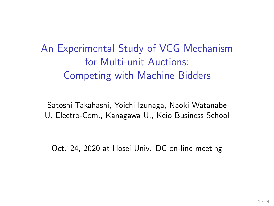An Experimental Study of VCG Mechanism for Multi-unit Auctions: Competing with Machine Bidders

Satoshi Takahashi, Yoichi Izunaga, Naoki Watanabe U. Electro-Com., Kanagawa U., Keio Business School

Oct. 24, 2020 at Hosei Univ. DC on-line meeting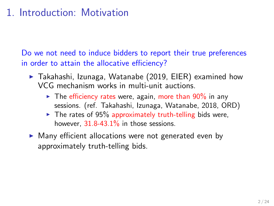# 1. Introduction: Motivation

Do we not need to induce bidders to report their true preferences in order to attain the allocative efficiency?

- ▶ Takahashi, Izunaga, Watanabe (2019, EIER) examined how VCG mechanism works in multi-unit auctions.
	- $\triangleright$  The efficiency rates were, again, more than 90% in any sessions. (ref. Takahashi, Izunaga, Watanabe, 2018, ORD)
	- $\blacktriangleright$  The rates of 95% approximately truth-telling bids were, however,  $31.8-43.1\%$  in those sessions.
- ▶ Many efficient allocations were not generated even by approximately truth-telling bids.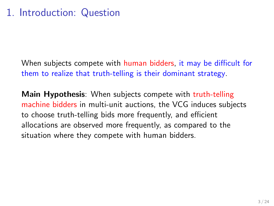When subjects compete with human bidders, it may be difficult for them to realize that truth-telling is their dominant strategy.

**Main Hypothesis**: When subjects compete with truth-telling machine bidders in multi-unit auctions, the VCG induces subjects to choose truth-telling bids more frequently, and efficient allocations are observed more frequently, as compared to the situation where they compete with human bidders.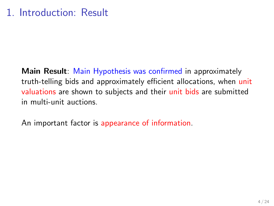**Main Result**: Main Hypothesis was confirmed in approximately truth-telling bids and approximately efficient allocations, when unit valuations are shown to subjects and their unit bids are submitted in multi-unit auctions.

An important factor is appearance of information.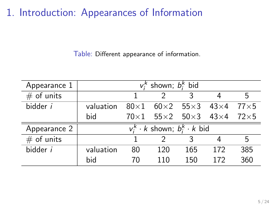1. Introduction: Appearances of Information

Table: Different appearance of information.

| Appearance 1    | $v_i^k$ shown; $b_i^k$ bid                            |    |     |     |                                 |     |
|-----------------|-------------------------------------------------------|----|-----|-----|---------------------------------|-----|
| $#$ of units    |                                                       |    |     | ঽ   |                                 | 5   |
| bidder <i>i</i> | valuation                                             |    |     |     | $80\times1$ 60×2 55×3 43×4 77×5 |     |
|                 | bid                                                   |    |     |     | $70\times1$ 55×2 50×3 43×4 72×5 |     |
| Appearance 2    | $v_i^k \cdot k$ shown; $b_i^k \cdot \overline{k}$ bid |    |     |     |                                 |     |
| $#$ of units    |                                                       |    |     |     |                                 | 5   |
| bidder <i>i</i> | valuation                                             | 80 | 120 | 165 | 172                             | 385 |
|                 | bid                                                   | 70 | 110 | 150 | 172                             | 360 |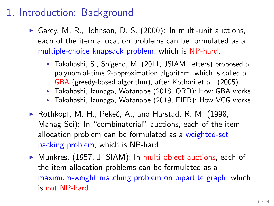# 1. Introduction: Background

- $\triangleright$  Garey, M. R., Johnson, D. S. (2000): In multi-unit auctions, each of the item allocation problems can be formulated as a multiple-choice knapsack problem, which is NP-hard.
	- ▶ Takahashi, S., Shigeno, M. (2011, JSIAM Letters) proposed a polynomial-time 2-approximation algorithm, which is called a GBA (greedy-based algorithm), after Kothari et al. (2005).
	- ▶ Takahashi, Izunaga, Watanabe (2018, ORD): How GBA works.
	- ▶ Takahashi, Izunaga, Watanabe (2019, EIER): How VCG works.
- $\blacktriangleright$  Rothkopf, M. H., Pekeč, A., and Harstad, R. M. (1998, Manag Sci): In "combinatorial" auctions, each of the item allocation problem can be formulated as a weighted-set packing problem, which is NP-hard.
- ▶ Munkres, (1957, J. SIAM): In multi-object auctions, each of the item allocation problems can be formulated as a maximum-weight matching problem on bipartite graph, which is not NP-hard.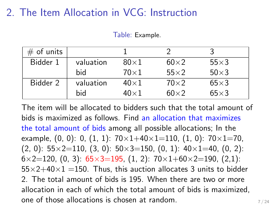### 2. The Item Allocation in VCG: Instruction

Table: Example.

| $#$ of units |           |             |             |             |
|--------------|-----------|-------------|-------------|-------------|
| Bidder 1     | valuation | $80\times1$ | $60\times2$ | $55\times3$ |
|              | bid       | $70\times1$ | $55\times2$ | $50\times3$ |
| Bidder 2     | valuation | $40\times1$ | $70\times2$ | $65\times3$ |
|              | bid       | $40\times1$ | $60\times2$ | $65\times3$ |

The item will be allocated to bidders such that the total amount of bids is maximized as follows. Find an allocation that maximizes the total amount of bids among all possible allocations; In the example, (0, 0): 0, (1, 1): 70*×*1+40*×*1=110, (1, 0): 70*×*1=70, (2, 0): 55*×*2=110, (3, 0): 50*×*3=150, (0, 1): 40*×*1=40, (0, 2): 6*×*2=120, (0, 3): 65*×*3=195, (1, 2): 70*×*1+60*×*2=190, (2,1): 55*×*2+40*×*1 =150. Thus, this auction allocates 3 units to bidder 2. The total amount of bids is 195. When there are two or more allocation in each of which the total amount of bids is maximized, one of those allocations is chosen at random.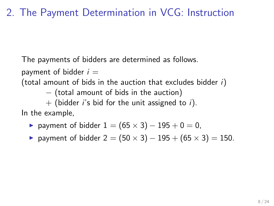# 2. The Payment Determination in VCG: Instruction

The payments of bidders are determined as follows.

payment of bidder  $i =$ 

(total amount of bids in the auction that excludes bidder *i*)

*−* (total amount of bids in the auction)

+ (bidder *i*'s bid for the unit assigned to *i*).

In the example,

- ▶ payment of bidder 1 = (65 *×* 3) *−* 195 + 0 = 0,
- ▶ payment of bidder 2 = (50 *×* 3) *−* 195 + (65 *×* 3) = 150.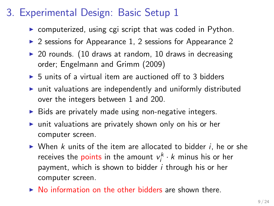# 3. Experimental Design: Basic Setup 1

- ▶ computerized, using cgi script that was coded in Python.
- $\triangleright$  2 sessions for Appearance 1, 2 sessions for Appearance 2
- $\triangleright$  20 rounds. (10 draws at random, 10 draws in decreasing order; Engelmann and Grimm (2009)
- $\triangleright$  5 units of a virtual item are auctioned off to 3 bidders
- ▶ unit valuations are independently and uniformly distributed over the integers between 1 and 200.
- ▶ Bids are privately made using non-negative integers.
- ▶ unit valuations are privately shown only on his or her computer screen.
- ▶ When *k* units of the item are allocated to bidder *i*, he or she receives the points in the amount  $v_i^k \cdot k$  minus his or her payment, which is shown to bidder *i* through his or her computer screen.
- ▶ No information on the other bidders are shown there.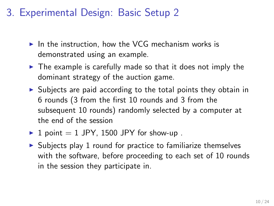# 3. Experimental Design: Basic Setup 2

- $\triangleright$  In the instruction, how the VCG mechanism works is demonstrated using an example.
- $\triangleright$  The example is carefully made so that it does not imply the dominant strategy of the auction game.
- ▶ Subjects are paid according to the total points they obtain in 6 rounds (3 from the first 10 rounds and 3 from the subsequent 10 rounds) randomly selected by a computer at the end of the session
- $\blacktriangleright$  1 point = 1 JPY, 1500 JPY for show-up.
- $\triangleright$  Subjects play 1 round for practice to familiarize themselves with the software, before proceeding to each set of 10 rounds in the session they participate in.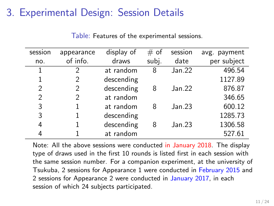# 3. Experimental Design: Session Details

| session        | appearance | display of | $#$ of | session | avg. payment |
|----------------|------------|------------|--------|---------|--------------|
| no.            | of info.   | draws      | subj.  | date    | per subject  |
| 1              | 2          | at random  | 8      | Jan.22  | 496.54       |
|                |            | descending |        |         | 1127.89      |
| 2              | 2          | descending | 8      | Jan.22  | 876.87       |
| $\mathfrak{D}$ | 2          | at random  |        |         | 346.65       |
| 3              |            | at random  | 8      | Jan.23  | 600.12       |
| 3              |            | descending |        |         | 1285.73      |
| 4              |            | descending | 8      | Jan.23  | 1306.58      |
|                |            | at random  |        |         | 527.61       |

Table: Features of the experimental sessions.

Note: All the above sessions were conducted in January 2018. The display type of draws used in the first 10 rounds is listed first in each session with the same session number. For a companion experiment, at the university of Tsukuba, 2 sessions for Appearance 1 were conducted in February 2015 and 2 sessions for Appearance 2 were conducted in January 2017, in each session of which 24 subjects participated.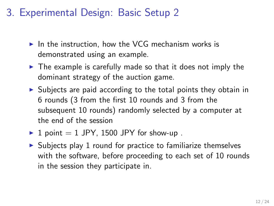# 3. Experimental Design: Basic Setup 2

- $\triangleright$  In the instruction, how the VCG mechanism works is demonstrated using an example.
- $\triangleright$  The example is carefully made so that it does not imply the dominant strategy of the auction game.
- ▶ Subjects are paid according to the total points they obtain in 6 rounds (3 from the first 10 rounds and 3 from the subsequent 10 rounds) randomly selected by a computer at the end of the session
- $\blacktriangleright$  1 point = 1 JPY, 1500 JPY for show-up.
- $\triangleright$  Subjects play 1 round for practice to familiarize themselves with the software, before proceeding to each set of 10 rounds in the session they participate in.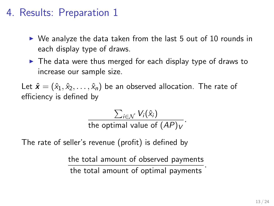#### 4. Results: Preparation 1

- $\triangleright$  We analyze the data taken from the last 5 out of 10 rounds in each display type of draws.
- ▶ The data were thus merged for each display type of draws to increase our sample size.

Let  $\hat{\mathbf{x}} = (\hat{x}_1, \hat{x}_2, \dots, \hat{x}_n)$  be an observed allocation. The rate of efficiency is defined by

$$
\frac{\sum_{i \in \mathcal{N}} V_i(\hat{x}_i)}{\text{the optimal value of } (AP)_V}.
$$

The rate of seller's revenue (profit) is defined by

the total amount of observed payments the total amount of optimal payments *.*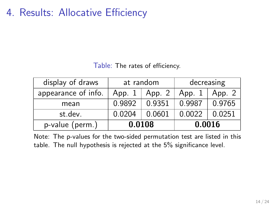4. Results: Allocative Efficiency

Table: The rates of efficiency.

| display of draws    | at random          |        | decreasing |        |
|---------------------|--------------------|--------|------------|--------|
| appearance of info. | App. 2<br>App. $1$ |        | App. 1     | App. 2 |
| mean                | 0.9892             | 0.9351 | 0.9987     | 0.9765 |
| st.dev.             | 0.0204<br>0.0601   |        | 0.0022     | 0.0251 |
| p-value (perm.)     | 0.0108             |        | 0.0016     |        |

Note: The p-values for the two-sided permutation test are listed in this table. The null hypothesis is rejected at the 5% significance level.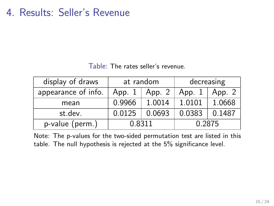4. Results: Seller's Revenue

Table: The rates seller's revenue.

| display of draws    | at random          |        | decreasing |        |
|---------------------|--------------------|--------|------------|--------|
| appearance of info. | App. 2<br>App. $1$ |        | App. 1     | App. 2 |
| mean                | 0.9966             | 1.0014 | 1.0101     | 1.0668 |
| st.dev.             | 0.0125             | 0.0693 | 0.0383     | 0.1487 |
| p-value (perm.)     | 0.8311             |        | 0.2875     |        |

Note: The p-values for the two-sided permutation test are listed in this table. The null hypothesis is rejected at the 5% significance level.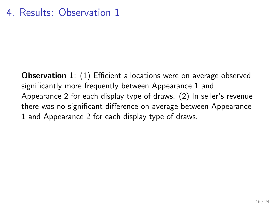**Observation 1**: (1) Efficient allocations were on average observed significantly more frequently between Appearance 1 and Appearance 2 for each display type of draws. (2) In seller's revenue there was no significant difference on average between Appearance 1 and Appearance 2 for each display type of draws.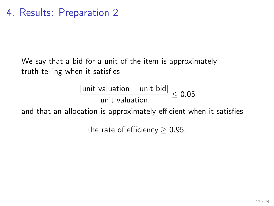We say that a bid for a unit of the item is approximately truth-telling when it satisfies

$$
\frac{|\text{unit valuation} - \text{unit bid}|}{\text{unit valuation}} \leq 0.05
$$

and that an allocation is approximately efficient when it satisfies

the rate of efficiency *≥* 0*.*95*.*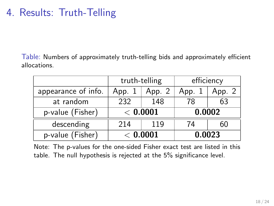### 4. Results: Truth-Telling

Table: Numbers of approximately truth-telling bids and approximately efficient allocations.

|                     | truth-telling |        | efficiency |        |
|---------------------|---------------|--------|------------|--------|
| appearance of info. | App. 1        | App. 2 | App. 1     | App. 2 |
| at random           | 232<br>148    |        | 78         | 63     |
| p-value (Fisher)    | < 0.0001      |        | 0.0002     |        |
| descending          | 214<br>119    |        | 74         | 60     |
| p-value (Fisher)    | < 0.0001      |        | 0.0023     |        |

Note: The p-values for the one-sided Fisher exact test are listed in this table. The null hypothesis is rejected at the 5% significance level.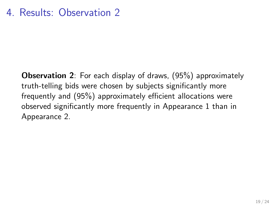**Observation 2**: For each display of draws, (95%) approximately truth-telling bids were chosen by subjects significantly more frequently and (95%) approximately efficient allocations were observed significantly more frequently in Appearance 1 than in Appearance 2.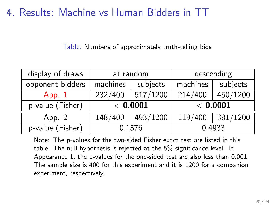4. Results: Machine vs Human Bidders in TT

Table: Numbers of approximately truth-telling bids

| display of draws    | at random           |          | descending |          |
|---------------------|---------------------|----------|------------|----------|
| opponent bidders    | machines            | subjects | machines   | subjects |
| App. $1$            | 517/1200<br>232/400 |          | 214/400    | 450/1200 |
|                     | < 0.0001            |          |            |          |
| $p$ -value (Fisher) |                     |          |            | < 0.0001 |
| App. 2              | 148/400             | 493/1200 | 119/400    | 381/1200 |

Note: The p-values for the two-sided Fisher exact test are listed in this table. The null hypothesis is rejected at the 5% significance level. In Appearance 1, the p-values for the one-sided test are also less than 0.001. The sample size is 400 for this experiment and it is 1200 for a companion experiment, respectively.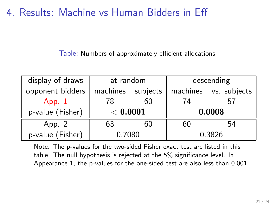4. Results: Machine vs Human Bidders in Eff

Table: Numbers of approximately efficient allocations

| display of draws    | at random            |    | descending |              |
|---------------------|----------------------|----|------------|--------------|
| opponent bidders    | machines<br>subjects |    | machines   | vs. subjects |
| App. $1$            | 60<br>78             |    | 74         | 57           |
| p-value (Fisher)    | < 0.0001             |    | 0.0008     |              |
| App. 2              | 63                   | 60 | 60         | 54           |
| $p$ -value (Fisher) | 0.7080               |    | 0.3826     |              |

Note: The p-values for the two-sided Fisher exact test are listed in this table. The null hypothesis is rejected at the 5% significance level. In Appearance 1, the p-values for the one-sided test are also less than 0.001.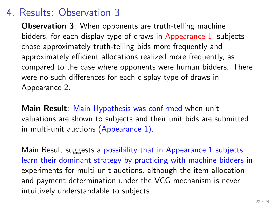#### 4. Results: Observation 3

**Observation 3**: When opponents are truth-telling machine bidders, for each display type of draws in Appearance 1, subjects chose approximately truth-telling bids more frequently and approximately efficient allocations realized more frequently, as compared to the case where opponents were human bidders. There were no such differences for each display type of draws in Appearance 2.

**Main Result**: Main Hypothesis was confirmed when unit valuations are shown to subjects and their unit bids are submitted in multi-unit auctions (Appearance 1).

Main Result suggests a possibility that in Appearance 1 subjects learn their dominant strategy by practicing with machine bidders in experiments for multi-unit auctions, although the item allocation and payment determination under the VCG mechanism is never intuitively understandable to subjects.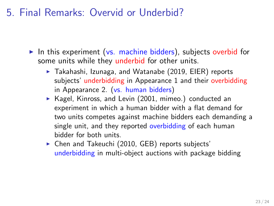5. Final Remarks: Overvid or Underbid?

- $\triangleright$  In this experiment (vs. machine bidders), subjects overbid for some units while they underbid for other units.
	- ▶ Takahashi, Izunaga, and Watanabe (2019, EIER) reports subjects' underbidding in Appearance 1 and their overbidding in Appearance 2. (vs. human bidders)
	- ▶ Kagel, Kinross, and Levin (2001, mimeo.) conducted an experiment in which a human bidder with a flat demand for two units competes against machine bidders each demanding a single unit, and they reported overbidding of each human bidder for both units.
	- ▶ Chen and Takeuchi (2010, GEB) reports subjects' underbidding in multi-object auctions with package bidding